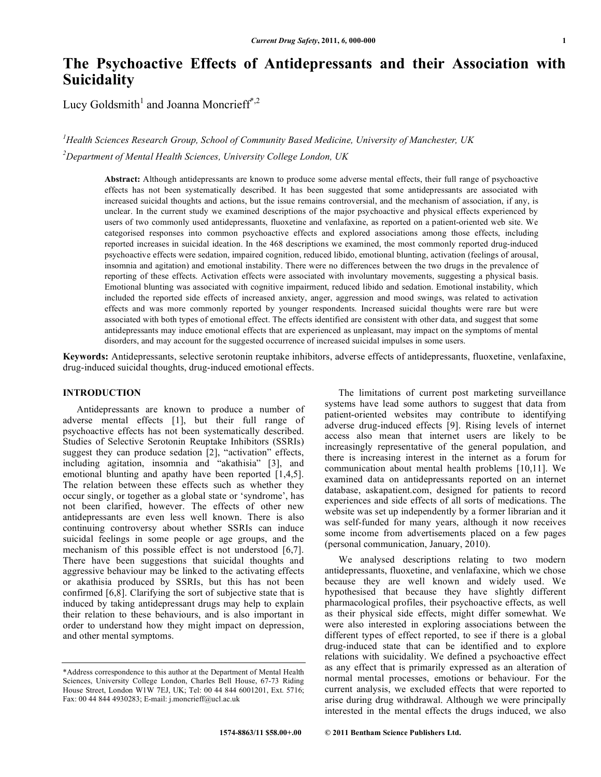# **The Psychoactive Effects of Antidepressants and their Association with Suicidality**

Lucy Goldsmith<sup>1</sup> and Joanna Moncrieff<sup>\*,2</sup>

*1 Health Sciences Research Group, School of Community Based Medicine, University of Manchester, UK 2 Department of Mental Health Sciences, University College London, UK* 

> **Abstract:** Although antidepressants are known to produce some adverse mental effects, their full range of psychoactive effects has not been systematically described. It has been suggested that some antidepressants are associated with increased suicidal thoughts and actions, but the issue remains controversial, and the mechanism of association, if any, is unclear. In the current study we examined descriptions of the major psychoactive and physical effects experienced by users of two commonly used antidepressants, fluoxetine and venlafaxine, as reported on a patient-oriented web site. We categorised responses into common psychoactive effects and explored associations among those effects, including reported increases in suicidal ideation. In the 468 descriptions we examined, the most commonly reported drug-induced psychoactive effects were sedation, impaired cognition, reduced libido, emotional blunting, activation (feelings of arousal, insomnia and agitation) and emotional instability. There were no differences between the two drugs in the prevalence of reporting of these effects. Activation effects were associated with involuntary movements, suggesting a physical basis. Emotional blunting was associated with cognitive impairment, reduced libido and sedation. Emotional instability, which included the reported side effects of increased anxiety, anger, aggression and mood swings, was related to activation effects and was more commonly reported by younger respondents. Increased suicidal thoughts were rare but were associated with both types of emotional effect. The effects identified are consistent with other data, and suggest that some antidepressants may induce emotional effects that are experienced as unpleasant, may impact on the symptoms of mental disorders, and may account for the suggested occurrence of increased suicidal impulses in some users.

**Keywords:** Antidepressants, selective serotonin reuptake inhibitors, adverse effects of antidepressants, fluoxetine, venlafaxine, drug-induced suicidal thoughts, drug-induced emotional effects.

# **INTRODUCTION**

 Antidepressants are known to produce a number of adverse mental effects [1], but their full range of psychoactive effects has not been systematically described. Studies of Selective Serotonin Reuptake Inhibitors (SSRIs) suggest they can produce sedation [2], "activation" effects, including agitation, insomnia and "akathisia" [3], and emotional blunting and apathy have been reported [1,4,5]. The relation between these effects such as whether they occur singly, or together as a global state or 'syndrome', has not been clarified, however. The effects of other new antidepressants are even less well known. There is also continuing controversy about whether SSRIs can induce suicidal feelings in some people or age groups, and the mechanism of this possible effect is not understood [6,7]. There have been suggestions that suicidal thoughts and aggressive behaviour may be linked to the activating effects or akathisia produced by SSRIs, but this has not been confirmed [6,8]. Clarifying the sort of subjective state that is induced by taking antidepressant drugs may help to explain their relation to these behaviours, and is also important in order to understand how they might impact on depression, and other mental symptoms.

 The limitations of current post marketing surveillance systems have lead some authors to suggest that data from patient-oriented websites may contribute to identifying adverse drug-induced effects [9]. Rising levels of internet access also mean that internet users are likely to be increasingly representative of the general population, and there is increasing interest in the internet as a forum for communication about mental health problems [10,11]. We examined data on antidepressants reported on an internet database, askapatient.com, designed for patients to record experiences and side effects of all sorts of medications. The website was set up independently by a former librarian and it was self-funded for many years, although it now receives some income from advertisements placed on a few pages (personal communication, January, 2010).

 We analysed descriptions relating to two modern antidepressants, fluoxetine, and venlafaxine, which we chose because they are well known and widely used. We hypothesised that because they have slightly different pharmacological profiles, their psychoactive effects, as well as their physical side effects, might differ somewhat. We were also interested in exploring associations between the different types of effect reported, to see if there is a global drug-induced state that can be identified and to explore relations with suicidality. We defined a psychoactive effect as any effect that is primarily expressed as an alteration of normal mental processes, emotions or behaviour. For the current analysis, we excluded effects that were reported to arise during drug withdrawal. Although we were principally interested in the mental effects the drugs induced, we also

<sup>\*</sup>Address correspondence to this author at the Department of Mental Health Sciences, University College London, Charles Bell House, 67-73 Riding House Street, London W1W 7EJ, UK; Tel: 00 44 844 6001201, Ext. 5716; Fax: 00 44 844 4930283; E-mail: j.moncrieff@ucl.ac.uk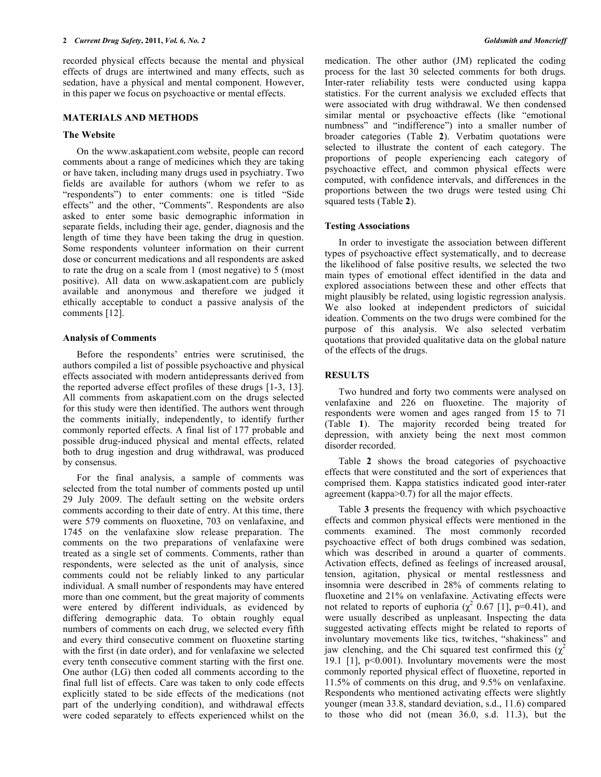recorded physical effects because the mental and physical effects of drugs are intertwined and many effects, such as sedation, have a physical and mental component. However, in this paper we focus on psychoactive or mental effects.

# **MATERIALS AND METHODS**

## **The Website**

 On the www.askapatient.com website, people can record comments about a range of medicines which they are taking or have taken, including many drugs used in psychiatry. Two fields are available for authors (whom we refer to as "respondents") to enter comments: one is titled "Side effects" and the other, "Comments". Respondents are also asked to enter some basic demographic information in separate fields, including their age, gender, diagnosis and the length of time they have been taking the drug in question. Some respondents volunteer information on their current dose or concurrent medications and all respondents are asked to rate the drug on a scale from 1 (most negative) to 5 (most positive). All data on www.askapatient.com are publicly available and anonymous and therefore we judged it ethically acceptable to conduct a passive analysis of the comments [12].

## **Analysis of Comments**

 Before the respondents' entries were scrutinised, the authors compiled a list of possible psychoactive and physical effects associated with modern antidepressants derived from the reported adverse effect profiles of these drugs [1-3, 13]. All comments from askapatient.com on the drugs selected for this study were then identified. The authors went through the comments initially, independently, to identify further commonly reported effects. A final list of 177 probable and possible drug-induced physical and mental effects, related both to drug ingestion and drug withdrawal, was produced by consensus.

 For the final analysis, a sample of comments was selected from the total number of comments posted up until 29 July 2009. The default setting on the website orders comments according to their date of entry. At this time, there were 579 comments on fluoxetine, 703 on venlafaxine, and 1745 on the venlafaxine slow release preparation. The comments on the two preparations of venlafaxine were treated as a single set of comments. Comments, rather than respondents, were selected as the unit of analysis, since comments could not be reliably linked to any particular individual. A small number of respondents may have entered more than one comment, but the great majority of comments were entered by different individuals, as evidenced by differing demographic data. To obtain roughly equal numbers of comments on each drug, we selected every fifth and every third consecutive comment on fluoxetine starting with the first (in date order), and for venlafaxine we selected every tenth consecutive comment starting with the first one. One author (LG) then coded all comments according to the final full list of effects. Care was taken to only code effects explicitly stated to be side effects of the medications (not part of the underlying condition), and withdrawal effects were coded separately to effects experienced whilst on the

medication. The other author (JM) replicated the coding process for the last 30 selected comments for both drugs. Inter-rater reliability tests were conducted using kappa statistics. For the current analysis we excluded effects that were associated with drug withdrawal. We then condensed similar mental or psychoactive effects (like "emotional numbness" and "indifference") into a smaller number of broader categories (Table **2**). Verbatim quotations were selected to illustrate the content of each category. The proportions of people experiencing each category of psychoactive effect, and common physical effects were computed, with confidence intervals, and differences in the proportions between the two drugs were tested using Chi squared tests (Table **2**).

## **Testing Associations**

 In order to investigate the association between different types of psychoactive effect systematically, and to decrease the likelihood of false positive results, we selected the two main types of emotional effect identified in the data and explored associations between these and other effects that might plausibly be related, using logistic regression analysis. We also looked at independent predictors of suicidal ideation. Comments on the two drugs were combined for the purpose of this analysis. We also selected verbatim quotations that provided qualitative data on the global nature of the effects of the drugs.

# **RESULTS**

 Two hundred and forty two comments were analysed on venlafaxine and 226 on fluoxetine. The majority of respondents were women and ages ranged from 15 to 71 (Table **1**). The majority recorded being treated for depression, with anxiety being the next most common disorder recorded.

 Table **2** shows the broad categories of psychoactive effects that were constituted and the sort of experiences that comprised them. Kappa statistics indicated good inter-rater agreement (kappa>0.7) for all the major effects.

 Table **3** presents the frequency with which psychoactive effects and common physical effects were mentioned in the comments examined. The most commonly recorded psychoactive effect of both drugs combined was sedation, which was described in around a quarter of comments. Activation effects, defined as feelings of increased arousal, tension, agitation, physical or mental restlessness and insomnia were described in 28% of comments relating to fluoxetine and 21% on venlafaxine. Activating effects were not related to reports of euphoria  $(\chi^2 \ 0.67 \ [1])$ , p=0.41), and were usually described as unpleasant. Inspecting the data suggested activating effects might be related to reports of involuntary movements like tics, twitches, "shakiness" and jaw clenching, and the Chi squared test confirmed this  $(\chi^2)$ 19.1 [1],  $p<0.001$ ). Involuntary movements were the most commonly reported physical effect of fluoxetine, reported in 11.5% of comments on this drug, and 9.5% on venlafaxine. Respondents who mentioned activating effects were slightly younger (mean 33.8, standard deviation, s.d., 11.6) compared to those who did not (mean 36.0, s.d. 11.3), but the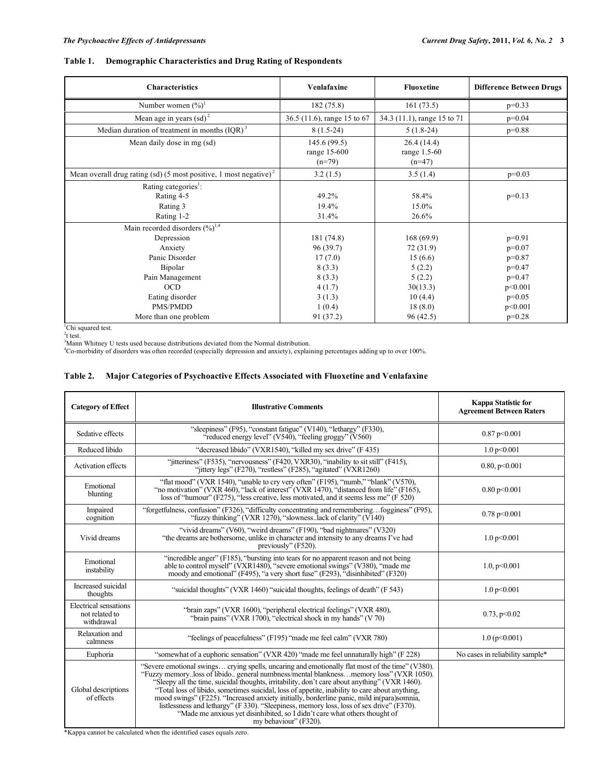# **Table 1. Demographic Characteristics and Drug Rating of Respondents**

| <b>Characteristics</b>                                                                                                                                                              | Venlafaxine                                                                                      | <b>Fluoxetine</b>                                                                                  | <b>Difference Between Drugs</b>                                                                        |
|-------------------------------------------------------------------------------------------------------------------------------------------------------------------------------------|--------------------------------------------------------------------------------------------------|----------------------------------------------------------------------------------------------------|--------------------------------------------------------------------------------------------------------|
| Number women $(\frac{6}{1})^1$                                                                                                                                                      | 182(75.8)                                                                                        | 161(73.5)                                                                                          | $p=0.33$                                                                                               |
| Mean age in years $\left(\text{sd}\right)^2$                                                                                                                                        | 36.5 (11.6), range 15 to 67                                                                      | 34.3 (11.1), range 15 to 71                                                                        | $p=0.04$                                                                                               |
| Median duration of treatment in months $(IQR)^3$                                                                                                                                    | $8(1.5-24)$                                                                                      | $5(1.8-24)$                                                                                        | $p=0.88$                                                                                               |
| Mean daily dose in mg (sd)                                                                                                                                                          | 145.6(99.5)<br>range 15-600<br>$(n=79)$                                                          | 26.4(14.4)<br>range 1.5-60<br>$(n=47)$                                                             |                                                                                                        |
| Mean overall drug rating (sd) (5 most positive, 1 most negative) <sup>2</sup>                                                                                                       | 3.2(1.5)                                                                                         | 3.5(1.4)                                                                                           | $p=0.03$                                                                                               |
| Rating categories <sup>1</sup> :<br>Rating 4-5<br>Rating 3<br>Rating 1-2                                                                                                            | 49.2%<br>19.4%<br>31.4%                                                                          | 58.4%<br>15.0%<br>26.6%                                                                            | $p=0.13$                                                                                               |
| Main recorded disorders $(\%)^{1,4}$<br>Depression<br>Anxiety<br>Panic Disorder<br>Bipolar<br>Pain Management<br><b>OCD</b><br>Eating disorder<br>PMS/PMDD<br>More than one problem | 181 (74.8)<br>96(39.7)<br>17(7.0)<br>8(3.3)<br>8(3.3)<br>4(1.7)<br>3(1.3)<br>1(0.4)<br>91 (37.2) | 168(69.9)<br>72(31.9)<br>15(6.6)<br>5(2.2)<br>5(2.2)<br>30(13.3)<br>10(4.4)<br>18(8.0)<br>96(42.5) | $p=0.91$<br>$p=0.07$<br>$p=0.87$<br>$p=0.47$<br>$p=0.47$<br>p<0.001<br>$p=0.05$<br>p<0.001<br>$p=0.28$ |

<sup>1</sup>Chi squared test.<br><sup>2</sup>t test.<br><sup>3</sup>Mann Whitney U tests used because distributions deviated from the Normal distribution.<br><sup>4</sup>Co-morbidity of disorders was often recorded (especially depression and anxiety), explaining perc

# **Table 2. Major Categories of Psychoactive Effects Associated with Fluoxetine and Venlafaxine**

| <b>Category of Effect</b>                             | <b>Illustrative Comments</b>                                                                                                                                                                                                                                                                                                                                                                                                                                                                                                                                                                                                                                                                  | Kappa Statistic for<br><b>Agreement Between Raters</b> |
|-------------------------------------------------------|-----------------------------------------------------------------------------------------------------------------------------------------------------------------------------------------------------------------------------------------------------------------------------------------------------------------------------------------------------------------------------------------------------------------------------------------------------------------------------------------------------------------------------------------------------------------------------------------------------------------------------------------------------------------------------------------------|--------------------------------------------------------|
| Sedative effects                                      | "sleepiness" (F95), "constant fatigue" (V140), "lethargy" (F330),<br>"reduced energy level" (V540), "feeling groggy" (V560)                                                                                                                                                                                                                                                                                                                                                                                                                                                                                                                                                                   | $0.87 \text{ p}$ < 0.001                               |
| Reduced libido                                        | "decreased libido" (VXR1540), "killed my sex drive" (F435)                                                                                                                                                                                                                                                                                                                                                                                                                                                                                                                                                                                                                                    | 1.0 p<0.001                                            |
| <b>Activation effects</b>                             | "itteriness" (F535), "nervousness" (F420, VXR30), "inability to sit still" (F415),<br>"ittery legs" (F270), "restless" (F285), "agitated" (VXR1260)                                                                                                                                                                                                                                                                                                                                                                                                                                                                                                                                           | 0.80, p<0.001                                          |
| Emotional<br>blunting                                 | "flat mood" (VXR 1540), "unable to cry very often" (F195), "numb," "blank" (V570),<br>"no motivation" (VXR 460), "lack of interest" (VXR 1470), "distanced from life" (F165),<br>loss of "humour" (F275), "less creative, less motivated, and it seems less me" (F 520)                                                                                                                                                                                                                                                                                                                                                                                                                       | $0.80\,\mathrm{p}$ < 0.001                             |
| Impaired<br>cognition                                 | "forgetfulness, confusion" (F326), "difficulty concentrating and rememberingfogginess" (F95),<br>"fuzzy thinking" (VXR 1270), "slowness. lack of clarity" ( $V140$ )                                                                                                                                                                                                                                                                                                                                                                                                                                                                                                                          | $0.78 \text{ p}$ < 0.001                               |
| Vivid dreams                                          | "vivid dreams" (V60), "weird dreams" (F190), "bad nightmares" (V320)<br>"the dreams are bothersome, unlike in character and intensity to any dreams I've had<br>previously" (F520).                                                                                                                                                                                                                                                                                                                                                                                                                                                                                                           | 1.0 p<0.001                                            |
| Emotional<br>instability                              | "incredible anger" (F185), "bursting into tears for no apparent reason and not being<br>able to control myself' (VXR1480), "severe emotional swings" (V380), "made me<br>moody and emotional" (F495), "a very short fuse" (F293), "disinhibited" (F320)                                                                                                                                                                                                                                                                                                                                                                                                                                       | 1.0, $p<0.001$                                         |
| Increased suicidal<br>thoughts                        | "suicidal thoughts" (VXR 1460) "suicidal thoughts, feelings of death" (F 543)                                                                                                                                                                                                                                                                                                                                                                                                                                                                                                                                                                                                                 | 1.0 p<0.001                                            |
| Electrical sensations<br>not related to<br>withdrawal | "brain zaps" (VXR 1600), "peripheral electrical feelings" (VXR 480),<br>"brain pains" (VXR 1700), "electrical shock in my hands" (V 70)                                                                                                                                                                                                                                                                                                                                                                                                                                                                                                                                                       | 0.73, p<0.02                                           |
| Relaxation and<br>calmness                            | "feelings of peacefulness" (F195) "made me feel calm" (VXR 780)                                                                                                                                                                                                                                                                                                                                                                                                                                                                                                                                                                                                                               | 1.0(p<0.001)                                           |
| Euphoria                                              | "somewhat of a euphoric sensation" (VXR 420) "made me feel unnaturally high" (F 228)                                                                                                                                                                                                                                                                                                                                                                                                                                                                                                                                                                                                          | No cases in reliability sample*                        |
| Global descriptions<br>of effects                     | "Severe emotional swings crying spells, uncaring and emotionally flat most of the time" (V380).<br>"Fuzzy memoryloss of libido general numbness/mental blanknessmemory loss" (VXR 1050).<br>"Sleepy all the time, suicidal thoughts, irritability, don't care about anything" (VXR 1460).<br>"Total loss of libido, sometimes suicidal, loss of appetite, inability to care about anything.<br>mood swings" (F225). "Increased anxiety initially, borderline panic, mild in (para) sommia,<br>listlessness and lethargy" (F 330). "Sleepiness, memory loss, loss of sex drive" (F370).<br>"Made me anxious yet disinhibited, so I didn't care what others thought of<br>my behaviour" (F320). |                                                        |

\*Kappa cannot be calculated when the identified cases equals zero.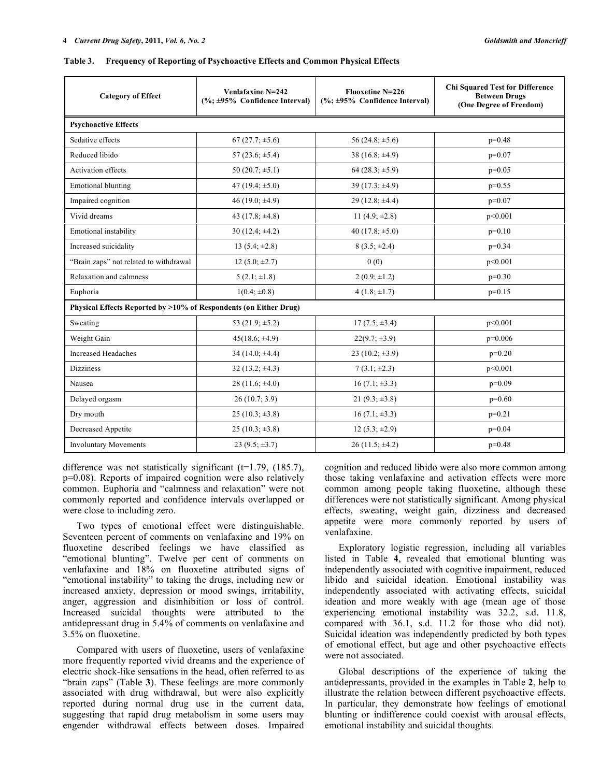|  |  | Table 3. Frequency of Reporting of Psychoactive Effects and Common Physical Effects |
|--|--|-------------------------------------------------------------------------------------|
|  |  |                                                                                     |

| <b>Category of Effect</b>                                         | Venlafaxine N=242<br>$(\%; \pm 95\%$ Confidence Interval) | <b>Fluoxetine N=226</b><br>$(\%;\pm 95\%$ Confidence Interval) | <b>Chi Squared Test for Difference</b><br><b>Between Drugs</b><br>(One Degree of Freedom) |
|-------------------------------------------------------------------|-----------------------------------------------------------|----------------------------------------------------------------|-------------------------------------------------------------------------------------------|
| <b>Psychoactive Effects</b>                                       |                                                           |                                                                |                                                                                           |
| Sedative effects                                                  | $67(27.7; \pm 5.6)$                                       | 56 $(24.8; \pm 5.6)$                                           | $p=0.48$                                                                                  |
| Reduced libido                                                    | 57 $(23.6; \pm 5.4)$                                      | 38 $(16.8; \pm 4.9)$                                           | $p=0.07$                                                                                  |
| <b>Activation</b> effects                                         | $50(20.7; \pm 5.1)$                                       | $64(28.3; \pm 5.9)$                                            | $p=0.05$                                                                                  |
| <b>Emotional blunting</b>                                         | 47 $(19.4; \pm 5.0)$                                      | $39(17.3; \pm 4.9)$                                            | $p=0.55$                                                                                  |
| Impaired cognition                                                | 46 $(19.0; \pm 4.9)$                                      | $29(12.8; \pm 4.4)$                                            | $p=0.07$                                                                                  |
| Vivid dreams                                                      | 43 $(17.8; \pm 4.8)$                                      | 11 $(4.9; \pm 2.8)$                                            | p<0.001                                                                                   |
| Emotional instability                                             | $30(12.4; \pm 4.2)$                                       | 40 $(17.8; \pm 5.0)$                                           | $p=0.10$                                                                                  |
| Increased suicidality                                             | $13(5.4; \pm 2.8)$                                        | $8(3.5; \pm 2.4)$                                              | $p=0.34$                                                                                  |
| "Brain zaps" not related to withdrawal                            | $12(5.0; \pm 2.7)$                                        | 0(0)                                                           | p<0.001                                                                                   |
| Relaxation and calmness                                           | $5(2.1; \pm 1.8)$                                         | $2(0.9; \pm 1.2)$                                              | $p=0.30$                                                                                  |
| Euphoria                                                          | $1(0.4; \pm 0.8)$                                         | $4(1.8; \pm 1.7)$                                              | $p=0.15$                                                                                  |
| Physical Effects Reported by >10% of Respondents (on Either Drug) |                                                           |                                                                |                                                                                           |
| Sweating                                                          | 53 $(21.9; \pm 5.2)$                                      | $17(7.5; \pm 3.4)$                                             | p<0.001                                                                                   |
| Weight Gain                                                       | $45(18.6; \pm 4.9)$                                       | $22(9.7; \pm 3.9)$                                             | $p=0.006$                                                                                 |
| <b>Increased Headaches</b>                                        | 34 $(14.0; \pm 4.4)$                                      | 23 $(10.2; \pm 3.9)$                                           | $p=0.20$                                                                                  |
| <b>Dizziness</b>                                                  | $32(13.2; \pm 4.3)$                                       | $7(3.1; \pm 2.3)$                                              | p<0.001                                                                                   |
| Nausea                                                            | $28(11.6; \pm 4.0)$                                       | $16(7.1; \pm 3.3)$                                             | $p=0.09$                                                                                  |
| Delayed orgasm                                                    | 26(10.7; 3.9)                                             | 21 $(9.3; \pm 3.8)$                                            | $p=0.60$                                                                                  |
| Dry mouth                                                         | $25(10.3; \pm 3.8)$                                       | $16(7.1; \pm 3.3)$                                             | $p=0.21$                                                                                  |
| Decreased Appetite                                                | $25(10.3; \pm 3.8)$                                       | $12(5.3; \pm 2.9)$                                             | $p=0.04$                                                                                  |
| <b>Involuntary Movements</b>                                      | $23(9.5; \pm 3.7)$                                        | $26(11.5; \pm 4.2)$                                            | $p=0.48$                                                                                  |

difference was not statistically significant ( $t=1.79$ , (185.7), p=0.08). Reports of impaired cognition were also relatively common. Euphoria and "calmness and relaxation" were not commonly reported and confidence intervals overlapped or were close to including zero.

 Two types of emotional effect were distinguishable. Seventeen percent of comments on venlafaxine and 19% on fluoxetine described feelings we have classified as "emotional blunting". Twelve per cent of comments on venlafaxine and 18% on fluoxetine attributed signs of "emotional instability" to taking the drugs, including new or increased anxiety, depression or mood swings, irritability, anger, aggression and disinhibition or loss of control. Increased suicidal thoughts were attributed to the antidepressant drug in 5.4% of comments on venlafaxine and 3.5% on fluoxetine.

 Compared with users of fluoxetine, users of venlafaxine more frequently reported vivid dreams and the experience of electric shock-like sensations in the head, often referred to as "brain zaps" (Table **3**). These feelings are more commonly associated with drug withdrawal, but were also explicitly reported during normal drug use in the current data, suggesting that rapid drug metabolism in some users may engender withdrawal effects between doses. Impaired

cognition and reduced libido were also more common among those taking venlafaxine and activation effects were more common among people taking fluoxetine, although these differences were not statistically significant. Among physical effects, sweating, weight gain, dizziness and decreased appetite were more commonly reported by users of venlafaxine.

 Exploratory logistic regression, including all variables listed in Table **4**, revealed that emotional blunting was independently associated with cognitive impairment, reduced libido and suicidal ideation. Emotional instability was independently associated with activating effects, suicidal ideation and more weakly with age (mean age of those experiencing emotional instability was 32.2, s.d. 11.8, compared with 36.1, s.d. 11.2 for those who did not). Suicidal ideation was independently predicted by both types of emotional effect, but age and other psychoactive effects were not associated.

 Global descriptions of the experience of taking the antidepressants, provided in the examples in Table **2**, help to illustrate the relation between different psychoactive effects. In particular, they demonstrate how feelings of emotional blunting or indifference could coexist with arousal effects, emotional instability and suicidal thoughts.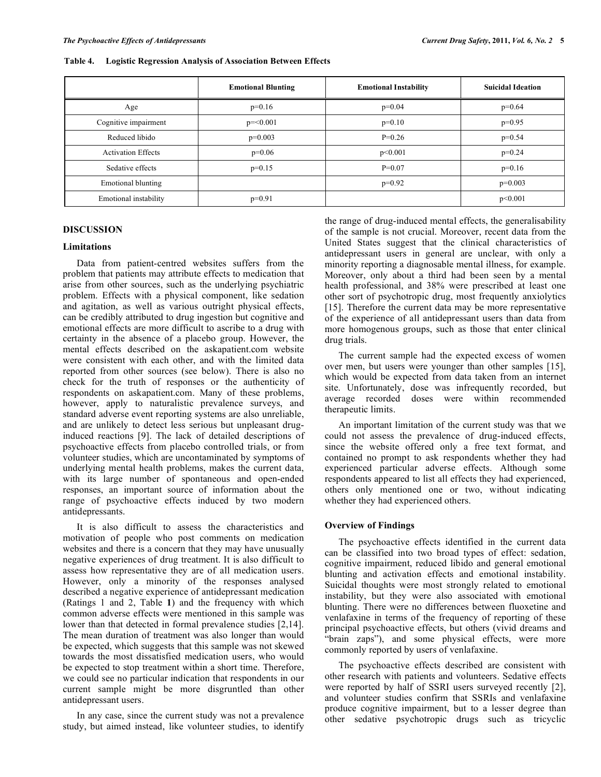| Table 4. |  | <b>Logistic Regression Analysis of Association Between Effects</b> |  |
|----------|--|--------------------------------------------------------------------|--|
|----------|--|--------------------------------------------------------------------|--|

|                           | <b>Emotional Blunting</b> | <b>Emotional Instability</b> | <b>Suicidal Ideation</b> |
|---------------------------|---------------------------|------------------------------|--------------------------|
| Age                       | $p=0.16$                  | $p=0.04$                     | $p=0.64$                 |
| Cognitive impairment      | $p = 0.001$               | $p=0.10$                     | $p=0.95$                 |
| Reduced libido            | $p=0.003$                 | $P=0.26$                     | $p=0.54$                 |
| <b>Activation Effects</b> | $p=0.06$                  | p<0.001                      | $p=0.24$                 |
| Sedative effects          | $p=0.15$                  | $P=0.07$                     | $p=0.16$                 |
| Emotional blunting        |                           | $p=0.92$                     | $p=0.003$                |
| Emotional instability     | $p=0.91$                  |                              | p<0.001                  |

#### **DISCUSSION**

#### **Limitations**

 Data from patient-centred websites suffers from the problem that patients may attribute effects to medication that arise from other sources, such as the underlying psychiatric problem. Effects with a physical component, like sedation and agitation, as well as various outright physical effects, can be credibly attributed to drug ingestion but cognitive and emotional effects are more difficult to ascribe to a drug with certainty in the absence of a placebo group. However, the mental effects described on the askapatient.com website were consistent with each other, and with the limited data reported from other sources (see below). There is also no check for the truth of responses or the authenticity of respondents on askapatient.com. Many of these problems, however, apply to naturalistic prevalence surveys, and standard adverse event reporting systems are also unreliable, and are unlikely to detect less serious but unpleasant druginduced reactions [9]. The lack of detailed descriptions of psychoactive effects from placebo controlled trials, or from volunteer studies, which are uncontaminated by symptoms of underlying mental health problems, makes the current data, with its large number of spontaneous and open-ended responses, an important source of information about the range of psychoactive effects induced by two modern antidepressants.

 It is also difficult to assess the characteristics and motivation of people who post comments on medication websites and there is a concern that they may have unusually negative experiences of drug treatment. It is also difficult to assess how representative they are of all medication users. However, only a minority of the responses analysed described a negative experience of antidepressant medication (Ratings 1 and 2, Table **1**) and the frequency with which common adverse effects were mentioned in this sample was lower than that detected in formal prevalence studies [2,14]. The mean duration of treatment was also longer than would be expected, which suggests that this sample was not skewed towards the most dissatisfied medication users, who would be expected to stop treatment within a short time. Therefore, we could see no particular indication that respondents in our current sample might be more disgruntled than other antidepressant users.

 In any case, since the current study was not a prevalence study, but aimed instead, like volunteer studies, to identify

the range of drug-induced mental effects, the generalisability of the sample is not crucial. Moreover, recent data from the United States suggest that the clinical characteristics of antidepressant users in general are unclear, with only a minority reporting a diagnosable mental illness, for example. Moreover, only about a third had been seen by a mental health professional, and 38% were prescribed at least one other sort of psychotropic drug, most frequently anxiolytics [15]. Therefore the current data may be more representative of the experience of all antidepressant users than data from more homogenous groups, such as those that enter clinical drug trials.

 The current sample had the expected excess of women over men, but users were younger than other samples [15], which would be expected from data taken from an internet site. Unfortunately, dose was infrequently recorded, but average recorded doses were within recommended therapeutic limits.

 An important limitation of the current study was that we could not assess the prevalence of drug-induced effects, since the website offered only a free text format, and contained no prompt to ask respondents whether they had experienced particular adverse effects. Although some respondents appeared to list all effects they had experienced, others only mentioned one or two, without indicating whether they had experienced others.

#### **Overview of Findings**

 The psychoactive effects identified in the current data can be classified into two broad types of effect: sedation, cognitive impairment, reduced libido and general emotional blunting and activation effects and emotional instability. Suicidal thoughts were most strongly related to emotional instability, but they were also associated with emotional blunting. There were no differences between fluoxetine and venlafaxine in terms of the frequency of reporting of these principal psychoactive effects, but others (vivid dreams and "brain zaps"), and some physical effects, were more commonly reported by users of venlafaxine.

 The psychoactive effects described are consistent with other research with patients and volunteers. Sedative effects were reported by half of SSRI users surveyed recently [2], and volunteer studies confirm that SSRIs and venlafaxine produce cognitive impairment, but to a lesser degree than other sedative psychotropic drugs such as tricyclic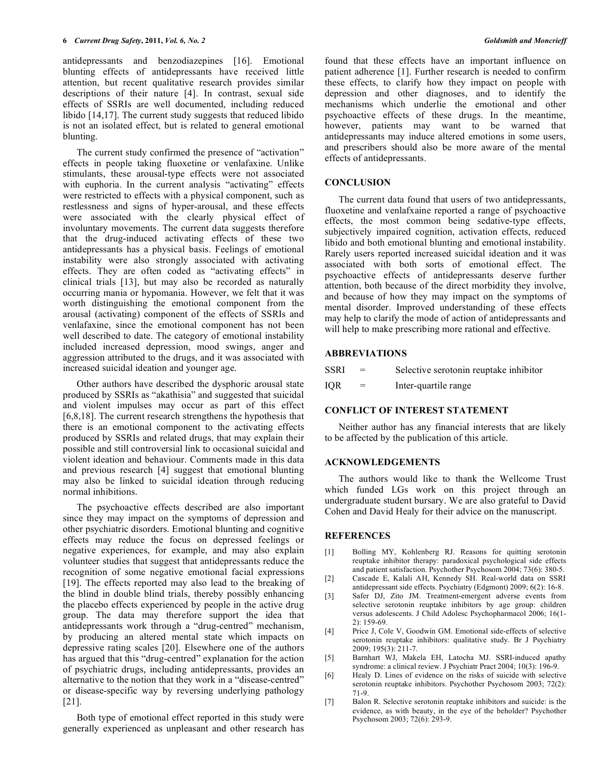antidepressants and benzodiazepines [16]. Emotional blunting effects of antidepressants have received little attention, but recent qualitative research provides similar descriptions of their nature [4]. In contrast, sexual side effects of SSRIs are well documented, including reduced libido [14,17]. The current study suggests that reduced libido is not an isolated effect, but is related to general emotional blunting.

 The current study confirmed the presence of "activation" effects in people taking fluoxetine or venlafaxine. Unlike stimulants, these arousal-type effects were not associated with euphoria. In the current analysis "activating" effects were restricted to effects with a physical component, such as restlessness and signs of hyper-arousal, and these effects were associated with the clearly physical effect of involuntary movements. The current data suggests therefore that the drug-induced activating effects of these two antidepressants has a physical basis. Feelings of emotional instability were also strongly associated with activating effects. They are often coded as "activating effects" in clinical trials [13], but may also be recorded as naturally occurring mania or hypomania. However, we felt that it was worth distinguishing the emotional component from the arousal (activating) component of the effects of SSRIs and venlafaxine, since the emotional component has not been well described to date. The category of emotional instability included increased depression, mood swings, anger and aggression attributed to the drugs, and it was associated with increased suicidal ideation and younger age.

 Other authors have described the dysphoric arousal state produced by SSRIs as "akathisia" and suggested that suicidal and violent impulses may occur as part of this effect [6,8,18]. The current research strengthens the hypothesis that there is an emotional component to the activating effects produced by SSRIs and related drugs, that may explain their possible and still controversial link to occasional suicidal and violent ideation and behaviour. Comments made in this data and previous research [4] suggest that emotional blunting may also be linked to suicidal ideation through reducing normal inhibitions.

 The psychoactive effects described are also important since they may impact on the symptoms of depression and other psychiatric disorders. Emotional blunting and cognitive effects may reduce the focus on depressed feelings or negative experiences, for example, and may also explain volunteer studies that suggest that antidepressants reduce the recognition of some negative emotional facial expressions [19]. The effects reported may also lead to the breaking of the blind in double blind trials, thereby possibly enhancing the placebo effects experienced by people in the active drug group. The data may therefore support the idea that antidepressants work through a "drug-centred" mechanism, by producing an altered mental state which impacts on depressive rating scales [20]. Elsewhere one of the authors has argued that this "drug-centred" explanation for the action of psychiatric drugs, including antidepressants, provides an alternative to the notion that they work in a "disease-centred" or disease-specific way by reversing underlying pathology [21].

 Both type of emotional effect reported in this study were generally experienced as unpleasant and other research has found that these effects have an important influence on patient adherence [1]. Further research is needed to confirm these effects, to clarify how they impact on people with depression and other diagnoses, and to identify the mechanisms which underlie the emotional and other psychoactive effects of these drugs. In the meantime, however, patients may want to be warned that antidepressants may induce altered emotions in some users, and prescribers should also be more aware of the mental effects of antidepressants.

# **CONCLUSION**

 The current data found that users of two antidepressants, fluoxetine and venlafxaine reported a range of psychoactive effects, the most common being sedative-type effects, subjectively impaired cognition, activation effects, reduced libido and both emotional blunting and emotional instability. Rarely users reported increased suicidal ideation and it was associated with both sorts of emotional effect. The psychoactive effects of antidepressants deserve further attention, both because of the direct morbidity they involve, and because of how they may impact on the symptoms of mental disorder. Improved understanding of these effects may help to clarify the mode of action of antidepressants and will help to make prescribing more rational and effective.

## **ABBREVIATIONS**

| SSRI | $=$ | Selective serotonin reuptake inhibitor |
|------|-----|----------------------------------------|
| IOR  | $=$ | Inter-quartile range                   |

# **CONFLICT OF INTEREST STATEMENT**

 Neither author has any financial interests that are likely to be affected by the publication of this article.

#### **ACKNOWLEDGEMENTS**

 The authors would like to thank the Wellcome Trust which funded LGs work on this project through an undergraduate student bursary. We are also grateful to David Cohen and David Healy for their advice on the manuscript.

## **REFERENCES**

- [1] Bolling MY, Kohlenberg RJ. Reasons for quitting serotonin reuptake inhibitor therapy: paradoxical psychological side effects and patient satisfaction. Psychother Psychosom 2004; 73(6): 380-5.
- [2] Cascade E, Kalali AH, Kennedy SH. Real-world data on SSRI antidepressant side effects. Psychiatry (Edgmont) 2009; 6(2): 16-8.
- [3] Safer DJ, Zito JM. Treatment-emergent adverse events from selective serotonin reuptake inhibitors by age group: children versus adolescents. J Child Adolesc Psychopharmacol 2006; 16(1- 2): 159-69.
- [4] Price J, Cole V, Goodwin GM. Emotional side-effects of selective serotonin reuptake inhibitors: qualitative study. Br J Psychiatry 2009; 195(3): 211-7.
- [5] Barnhart WJ, Makela EH, Latocha MJ. SSRI-induced apathy syndrome: a clinical review. J Psychiatr Pract 2004; 10(3): 196-9.
- [6] Healy D. Lines of evidence on the risks of suicide with selective serotonin reuptake inhibitors. Psychother Psychosom 2003; 72(2): 71-9.
- [7] Balon R. Selective serotonin reuptake inhibitors and suicide: is the evidence, as with beauty, in the eye of the beholder? Psychother Psychosom 2003; 72(6): 293-9.